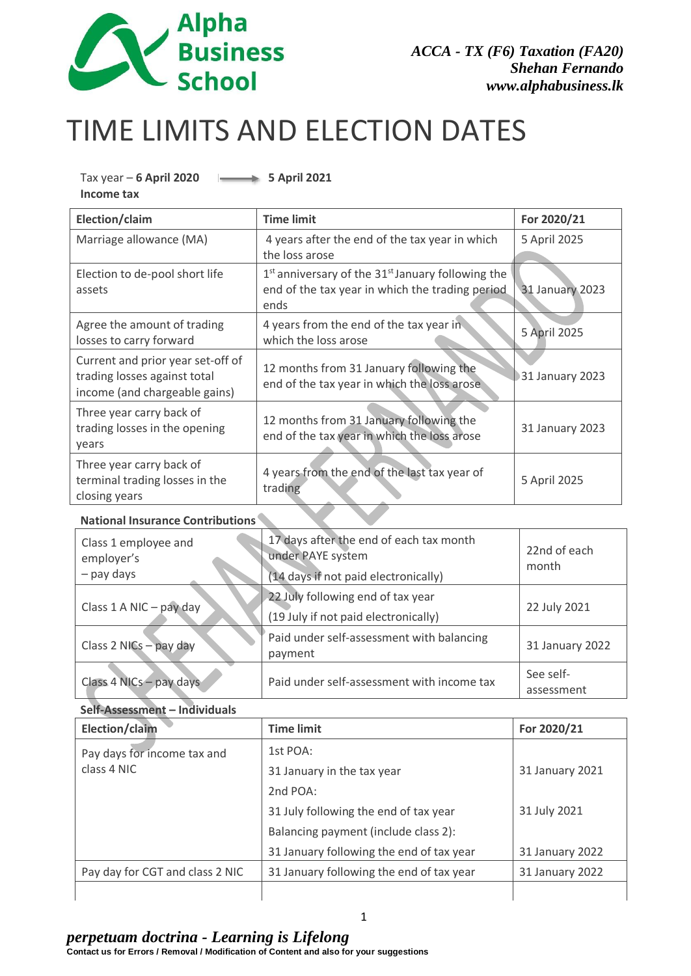

# TIME LIMITS AND ELECTION DATES

#### Tax year – **6 April 2020** 5 April 2021 **Income tax**

| Election/claim                                                                                     | <b>Time limit</b>                                                                                                | For 2020/21            |
|----------------------------------------------------------------------------------------------------|------------------------------------------------------------------------------------------------------------------|------------------------|
| Marriage allowance (MA)                                                                            | 4 years after the end of the tax year in which<br>the loss arose                                                 | 5 April 2025           |
| Election to de-pool short life<br>assets                                                           | $1st$ anniversary of the $31st$ January following the<br>end of the tax year in which the trading period<br>ends | <b>31 January 2023</b> |
| Agree the amount of trading<br>losses to carry forward                                             | 4 years from the end of the tax year in<br>which the loss arose                                                  | 5 April 2025           |
| Current and prior year set-off of<br>trading losses against total<br>income (and chargeable gains) | 12 months from 31 January following the<br>end of the tax year in which the loss arose                           | 31 January 2023        |
| Three year carry back of<br>trading losses in the opening<br>years                                 | 12 months from 31 January following the<br>end of the tax year in which the loss arose                           | 31 January 2023        |
| Three year carry back of<br>terminal trading losses in the<br>closing years                        | 4 years from the end of the last tax year of<br>trading                                                          | 5 April 2025           |

## **National Insurance Contributions**

| Class 1 employee and<br>employer's<br>- pay days | 17 days after the end of each tax month<br>under PAYE system<br>(14 days if not paid electronically) | 22nd of each<br>month |
|--------------------------------------------------|------------------------------------------------------------------------------------------------------|-----------------------|
| Class 1 A NIC - pay day                          | 22 July following end of tax year<br>22 July 2021<br>(19 July if not paid electronically)            |                       |
| Class 2 NICs - pay day                           | Paid under self-assessment with balancing<br>payment                                                 | 31 January 2022       |
| Class 4 NICs - pay days                          | Paid under self-assessment with income tax                                                           |                       |

#### **Self-Assessment – Individuals**

| Election/claim                  | <b>Time limit</b>                        | For 2020/21     |
|---------------------------------|------------------------------------------|-----------------|
| Pay days for income tax and     | 1st $POA:$                               |                 |
| class 4 NIC                     | 31 January in the tax year               | 31 January 2021 |
|                                 | 2nd $POA$ :                              |                 |
|                                 | 31 July following the end of tax year    | 31 July 2021    |
|                                 | Balancing payment (include class 2):     |                 |
|                                 | 31 January following the end of tax year | 31 January 2022 |
| Pay day for CGT and class 2 NIC | 31 January following the end of tax year | 31 January 2022 |
|                                 |                                          |                 |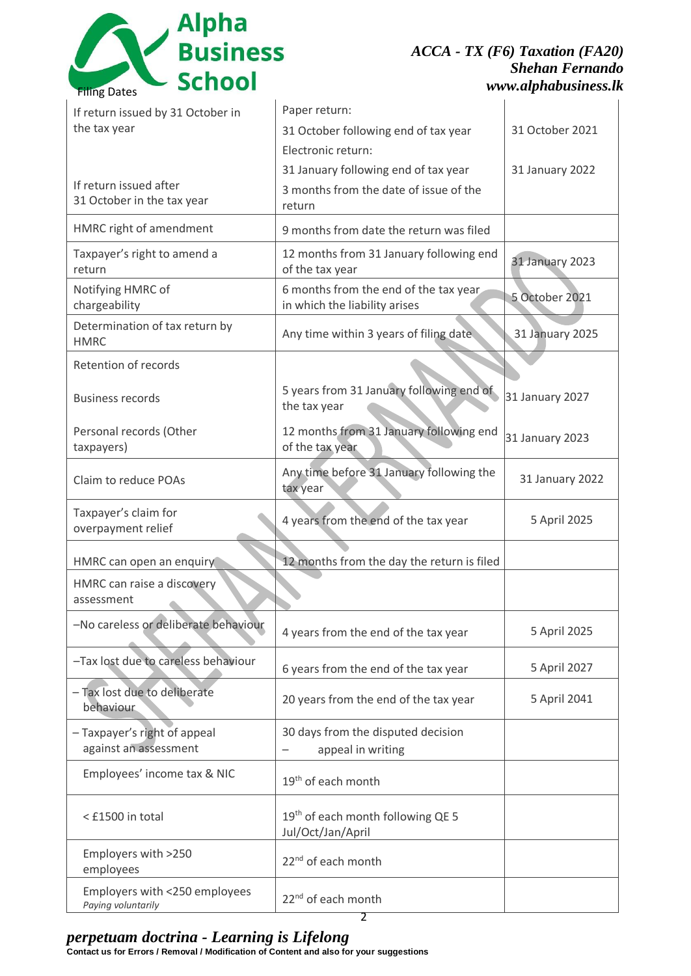

# *ACCA - TX (F6) Taxation (FA20) Shehan Fernando www.alphabusiness.lk*

| If return issued by 31 October in                     | Paper return:                                                          |                 |
|-------------------------------------------------------|------------------------------------------------------------------------|-----------------|
| the tax year                                          | 31 October following end of tax year                                   | 31 October 2021 |
|                                                       | Electronic return:<br>31 January following end of tax year             |                 |
| If return issued after                                | 3 months from the date of issue of the                                 | 31 January 2022 |
| 31 October in the tax year                            | return                                                                 |                 |
| HMRC right of amendment                               | 9 months from date the return was filed                                |                 |
| Taxpayer's right to amend a<br>return                 | 12 months from 31 January following end<br>of the tax year             | 31 January 2023 |
| Notifying HMRC of<br>chargeability                    | 6 months from the end of the tax year<br>in which the liability arises | 5 October 2021  |
| Determination of tax return by<br><b>HMRC</b>         | Any time within 3 years of filing date                                 | 31 January 2025 |
| Retention of records                                  |                                                                        |                 |
| <b>Business records</b>                               | 5 years from 31 January following end of<br>the tax year               | 31 January 2027 |
| Personal records (Other<br>taxpayers)                 | 12 months from 31 January following end<br>of the tax year             | 31 January 2023 |
| Claim to reduce POAs                                  | Any time before 31 January following the<br>tax year                   | 31 January 2022 |
| Taxpayer's claim for<br>overpayment relief            | 4 years from the end of the tax year                                   | 5 April 2025    |
| HMRC can open an enquiry                              | 12 months from the day the return is filed                             |                 |
| HMRC can raise a discovery<br>assessment              |                                                                        |                 |
| -No careless or deliberate behaviour                  | 4 years from the end of the tax year                                   | 5 April 2025    |
| -Tax lost due to careless behaviour                   | 6 years from the end of the tax year                                   | 5 April 2027    |
| - Tax lost due to deliberate<br>behaviour             | 20 years from the end of the tax year                                  | 5 April 2041    |
| - Taxpayer's right of appeal<br>against an assessment | 30 days from the disputed decision<br>appeal in writing                |                 |
| Employees' income tax & NIC                           | 19 <sup>th</sup> of each month                                         |                 |
| < £1500 in total                                      | 19 <sup>th</sup> of each month following QE 5<br>Jul/Oct/Jan/April     |                 |
| Employers with >250<br>employees                      | 22 <sup>nd</sup> of each month                                         |                 |
| Employers with <250 employees<br>Paying voluntarily   | 22 <sup>nd</sup> of each month                                         |                 |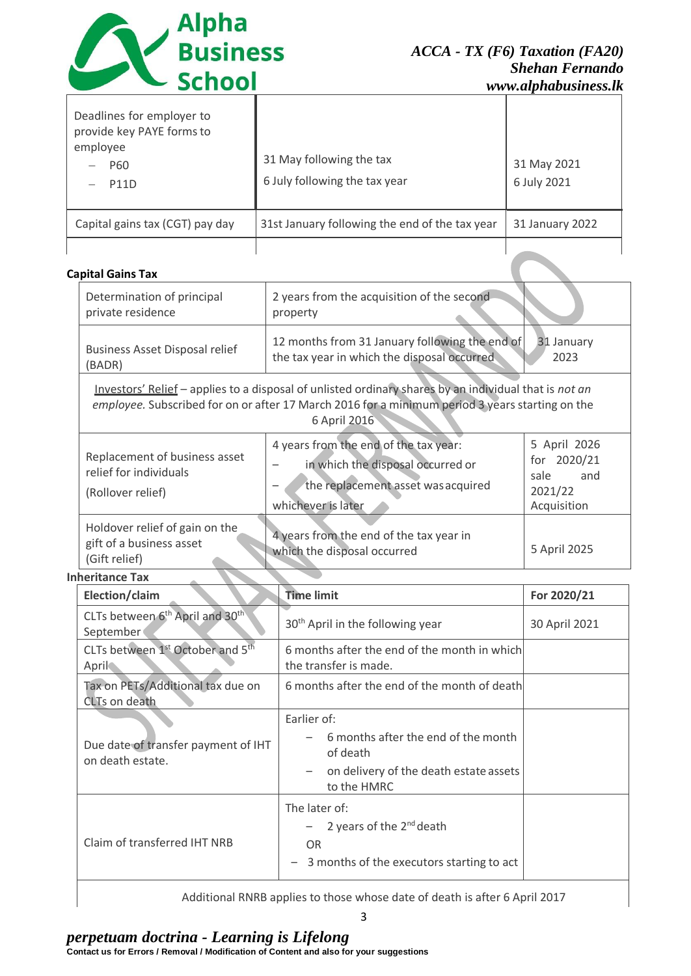

| Deadlines for employer to<br>provide key PAYE forms to<br>employee<br>P60<br><b>P11D</b> | 31 May following the tax<br>6 July following the tax year | 31 May 2021<br>6 July 2021 |
|------------------------------------------------------------------------------------------|-----------------------------------------------------------|----------------------------|
| Capital gains tax (CGT) pay day                                                          | 31st January following the end of the tax year            | 31 January 2022            |
|                                                                                          |                                                           |                            |

## **Capital Gains Tax**

| Determination of principal<br>private residence                                                                                                                                                                          | 2 years from the acquisition of the second<br>property                                                                                 |                                                                      |
|--------------------------------------------------------------------------------------------------------------------------------------------------------------------------------------------------------------------------|----------------------------------------------------------------------------------------------------------------------------------------|----------------------------------------------------------------------|
| <b>Business Asset Disposal relief</b><br>BADR)                                                                                                                                                                           | 12 months from 31 January following the end of<br>the tax year in which the disposal occurred                                          | 31 January<br>2023                                                   |
| Investors' Relief – applies to a disposal of unlisted ordinary shares by an individual that is not an<br>employee. Subscribed for on or after 17 March 2016 for a minimum period 3 years starting on the<br>6 April 2016 |                                                                                                                                        |                                                                      |
| Replacement of business asset<br>relief for individuals<br>(Rollover relief)                                                                                                                                             | 4 years from the end of the tax year:<br>in which the disposal occurred or<br>the replacement asset was acquired<br>whichever is later | 5 April 2026<br>for 2020/21<br>sale<br>and<br>2021/22<br>Acquisition |
| Holdover relief of gain on the<br>gift of a business asset<br>(Gift relief)                                                                                                                                              | 4 years from the end of the tax year in<br>which the disposal occurred                                                                 | 5 April 2025                                                         |
| <b>Inheritance Tax</b>                                                                                                                                                                                                   |                                                                                                                                        |                                                                      |

| Election/claim                                                       | <b>Time limit</b>                                                                                                                      | For 2020/21   |
|----------------------------------------------------------------------|----------------------------------------------------------------------------------------------------------------------------------------|---------------|
| CLTs between 6 <sup>th</sup> April and 30 <sup>th</sup><br>September | 30 <sup>th</sup> April in the following year                                                                                           | 30 April 2021 |
| CLTs between 1 <sup>st</sup> October and 5 <sup>th</sup><br>April    | 6 months after the end of the month in which<br>the transfer is made.                                                                  |               |
| Tax on PETs/Additional tax due on<br>CLTs on death                   | 6 months after the end of the month of death                                                                                           |               |
| Due date of transfer payment of IHT<br>on death estate.              | Earlier of:<br>6 months after the end of the month<br>of death<br>on delivery of the death estate assets<br>to the HMRC                |               |
| Claim of transferred IHT NRB                                         | The later of:<br>- 2 years of the $2^{nd}$ death<br><b>OR</b><br>3 months of the executors starting to act<br>$\overline{\phantom{m}}$ |               |

Additional RNRB applies to those whose date of death is after 6 April 2017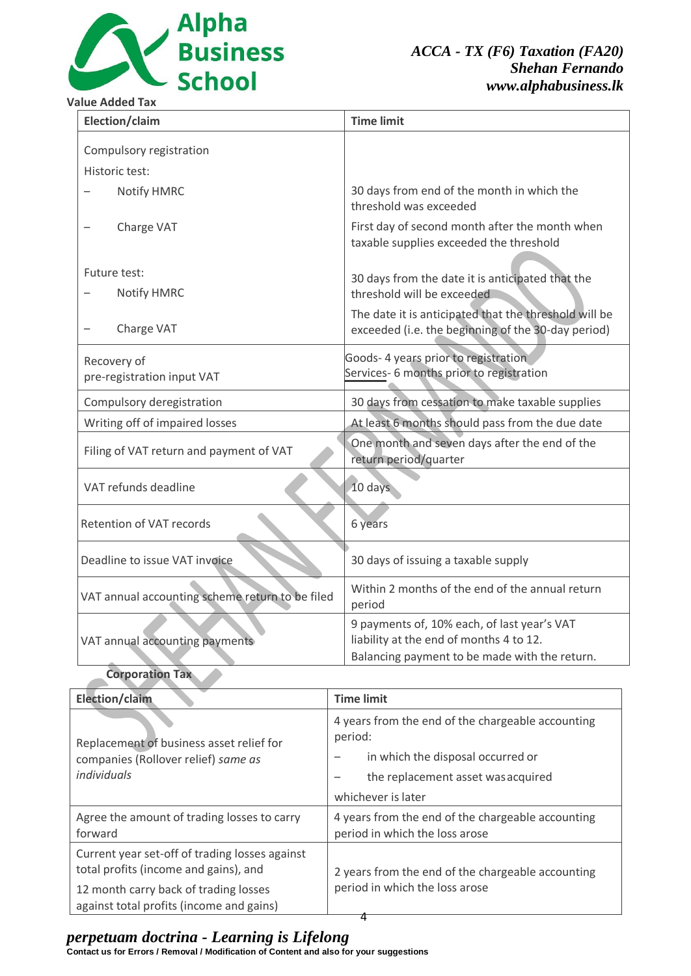

*ACCA - TX (F6) Taxation (FA20) Shehan Fernando www.alphabusiness.lk*

#### **Value Added Tax**

| Election/claim                                  | <b>Time limit</b>                                                                                                                       |
|-------------------------------------------------|-----------------------------------------------------------------------------------------------------------------------------------------|
| Compulsory registration                         |                                                                                                                                         |
| Historic test:                                  |                                                                                                                                         |
| Notify HMRC                                     | 30 days from end of the month in which the<br>threshold was exceeded                                                                    |
| Charge VAT                                      | First day of second month after the month when<br>taxable supplies exceeded the threshold                                               |
| Future test:<br>Notify HMRC                     | 30 days from the date it is anticipated that the<br>threshold will be exceeded                                                          |
| Charge VAT                                      | The date it is anticipated that the threshold will be<br>exceeded (i.e. the beginning of the 30-day period)                             |
| Recovery of<br>pre-registration input VAT       | Goods- 4 years prior to registration<br>Services-6 months prior to registration                                                         |
| Compulsory deregistration                       | 30 days from cessation to make taxable supplies                                                                                         |
| Writing off of impaired losses                  | At least 6 months should pass from the due date                                                                                         |
| Filing of VAT return and payment of VAT         | One month and seven days after the end of the<br>return period/quarter                                                                  |
| VAT refunds deadline                            | 10 days                                                                                                                                 |
| Retention of VAT records                        | 6 years                                                                                                                                 |
| Deadline to issue VAT invoice                   | 30 days of issuing a taxable supply                                                                                                     |
| VAT annual accounting scheme return to be filed | Within 2 months of the end of the annual return<br>period                                                                               |
| VAT annual accounting payments                  | 9 payments of, 10% each, of last year's VAT<br>liability at the end of months 4 to 12.<br>Balancing payment to be made with the return. |

## **Corporation Tax**

| <b>Election/claim</b>                                                                                                            | <b>Time limit</b>                                                                                                                                             |
|----------------------------------------------------------------------------------------------------------------------------------|---------------------------------------------------------------------------------------------------------------------------------------------------------------|
| Replacement of business asset relief for<br>companies (Rollover relief) same as<br>individuals                                   | 4 years from the end of the chargeable accounting<br>period:<br>in which the disposal occurred or<br>the replacement asset was acquired<br>whichever is later |
| Agree the amount of trading losses to carry<br>forward                                                                           | 4 years from the end of the chargeable accounting<br>period in which the loss arose                                                                           |
| Current year set-off of trading losses against<br>total profits (income and gains), and<br>12 month carry back of trading losses | 2 years from the end of the chargeable accounting<br>period in which the loss arose                                                                           |
| against total profits (income and gains)                                                                                         |                                                                                                                                                               |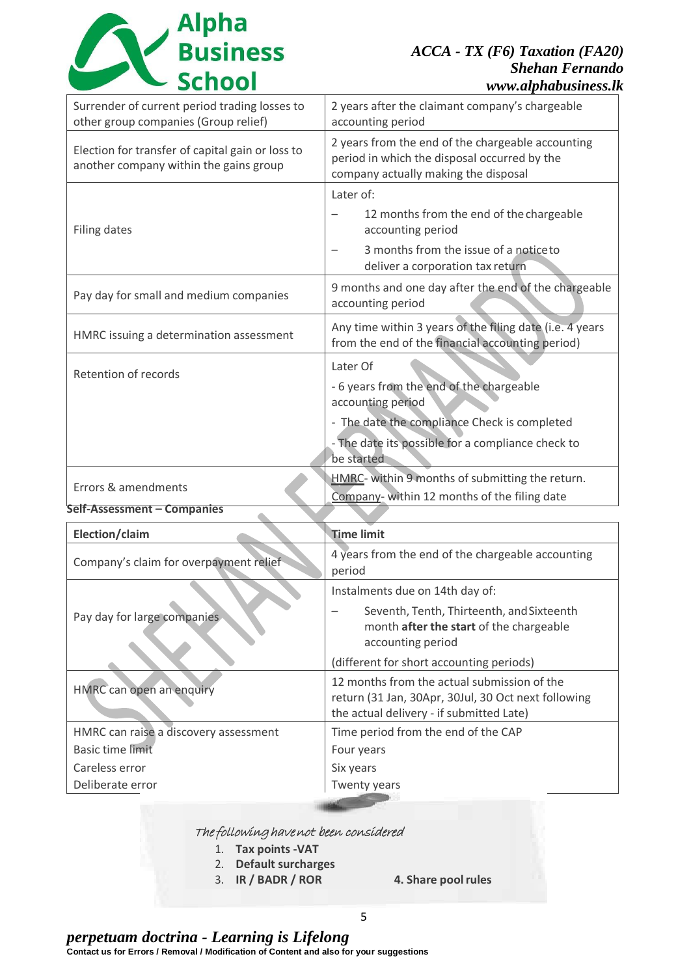Alpha<br>School

## *ACCA - TX (F6) Taxation (FA20) Shehan Fernando www.alphabusiness.lk*

| Surrender of current period trading losses to<br>2 years after the claimant company's chargeable<br>other group companies (Group relief)<br>accounting period<br>2 years from the end of the chargeable accounting<br>Election for transfer of capital gain or loss to<br>period in which the disposal occurred by the<br>another company within the gains group<br>company actually making the disposal<br>Later of:<br>12 months from the end of the chargeable<br>Filing dates<br>accounting period<br>3 months from the issue of a notice to<br>deliver a corporation tax return<br>Pay day for small and medium companies<br>accounting period<br>Any time within 3 years of the filing date (i.e. 4 years<br>HMRC issuing a determination assessment<br>from the end of the financial accounting period)<br>Later Of<br>Retention of records<br>- 6 years from the end of the chargeable<br>accounting period<br>- The date the compliance Check is completed<br>- The date its possible for a compliance check to<br>be started<br>HMRC- within 9 months of submitting the return.<br>Errors & amendments |                                                      |
|------------------------------------------------------------------------------------------------------------------------------------------------------------------------------------------------------------------------------------------------------------------------------------------------------------------------------------------------------------------------------------------------------------------------------------------------------------------------------------------------------------------------------------------------------------------------------------------------------------------------------------------------------------------------------------------------------------------------------------------------------------------------------------------------------------------------------------------------------------------------------------------------------------------------------------------------------------------------------------------------------------------------------------------------------------------------------------------------------------------|------------------------------------------------------|
|                                                                                                                                                                                                                                                                                                                                                                                                                                                                                                                                                                                                                                                                                                                                                                                                                                                                                                                                                                                                                                                                                                                  |                                                      |
|                                                                                                                                                                                                                                                                                                                                                                                                                                                                                                                                                                                                                                                                                                                                                                                                                                                                                                                                                                                                                                                                                                                  |                                                      |
|                                                                                                                                                                                                                                                                                                                                                                                                                                                                                                                                                                                                                                                                                                                                                                                                                                                                                                                                                                                                                                                                                                                  |                                                      |
|                                                                                                                                                                                                                                                                                                                                                                                                                                                                                                                                                                                                                                                                                                                                                                                                                                                                                                                                                                                                                                                                                                                  | 9 months and one day after the end of the chargeable |
|                                                                                                                                                                                                                                                                                                                                                                                                                                                                                                                                                                                                                                                                                                                                                                                                                                                                                                                                                                                                                                                                                                                  |                                                      |
|                                                                                                                                                                                                                                                                                                                                                                                                                                                                                                                                                                                                                                                                                                                                                                                                                                                                                                                                                                                                                                                                                                                  |                                                      |
| Self-Assessment - Companies                                                                                                                                                                                                                                                                                                                                                                                                                                                                                                                                                                                                                                                                                                                                                                                                                                                                                                                                                                                                                                                                                      | Company- within 12 months of the filing date         |

| Election/claim                         | <b>Time limit</b>                                                                                                                              |
|----------------------------------------|------------------------------------------------------------------------------------------------------------------------------------------------|
| Company's claim for overpayment relief | 4 years from the end of the chargeable accounting<br>period                                                                                    |
|                                        | Instalments due on 14th day of:                                                                                                                |
| Pay day for large companies            | Seventh, Tenth, Thirteenth, and Sixteenth<br>month after the start of the chargeable<br>accounting period                                      |
|                                        | (different for short accounting periods)                                                                                                       |
| HMRC can open an enquiry               | 12 months from the actual submission of the<br>return (31 Jan, 30Apr, 30Jul, 30 Oct next following<br>the actual delivery - if submitted Late) |
| HMRC can raise a discovery assessment  | Time period from the end of the CAP                                                                                                            |
| Basic time limit                       | Four years                                                                                                                                     |
| Careless error                         | Six years                                                                                                                                      |
| Deliberate error                       | <b>Twenty years</b>                                                                                                                            |

## The following have not been considered

- 1. **Tax points -VAT**
- 2. **Default surcharges**
- 3. **IR / BADR / ROR 4. Share poolrules**
	-